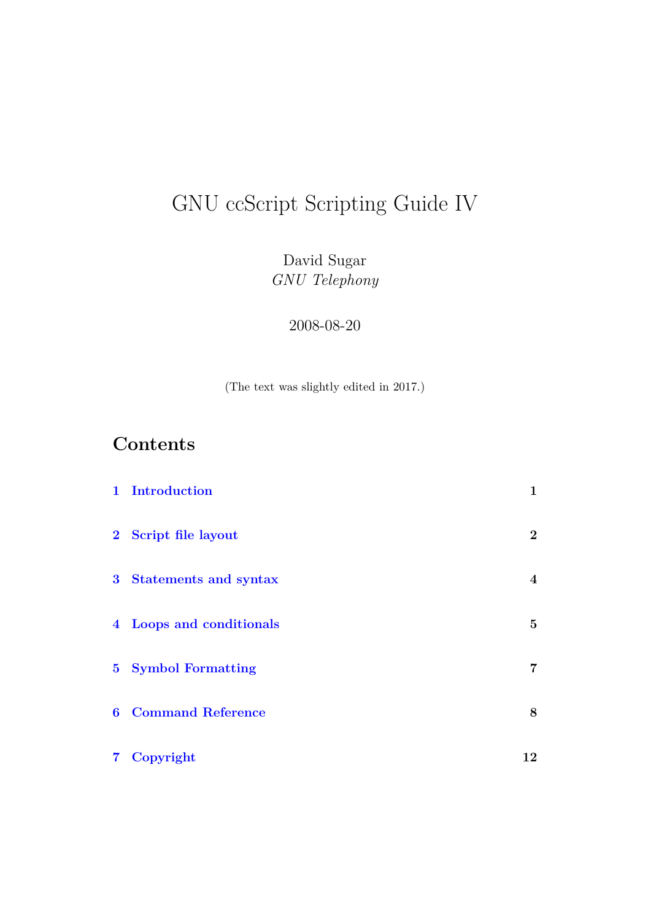# GNU ccScript Scripting Guide IV

David Sugar *GNU Telephony*

2008-08-20

(The text was slightly edited in 2017.)

# **Contents**

|                | 1 Introduction           | 1              |
|----------------|--------------------------|----------------|
|                | 2 Script file layout     | $\overline{2}$ |
|                | 3 Statements and syntax  | $\overline{4}$ |
|                | 4 Loops and conditionals | $5^{\circ}$    |
|                | 5 Symbol Formatting      | 7              |
| $6\phantom{1}$ | <b>Command Reference</b> | 8              |
|                | 7 Copyright              | 12             |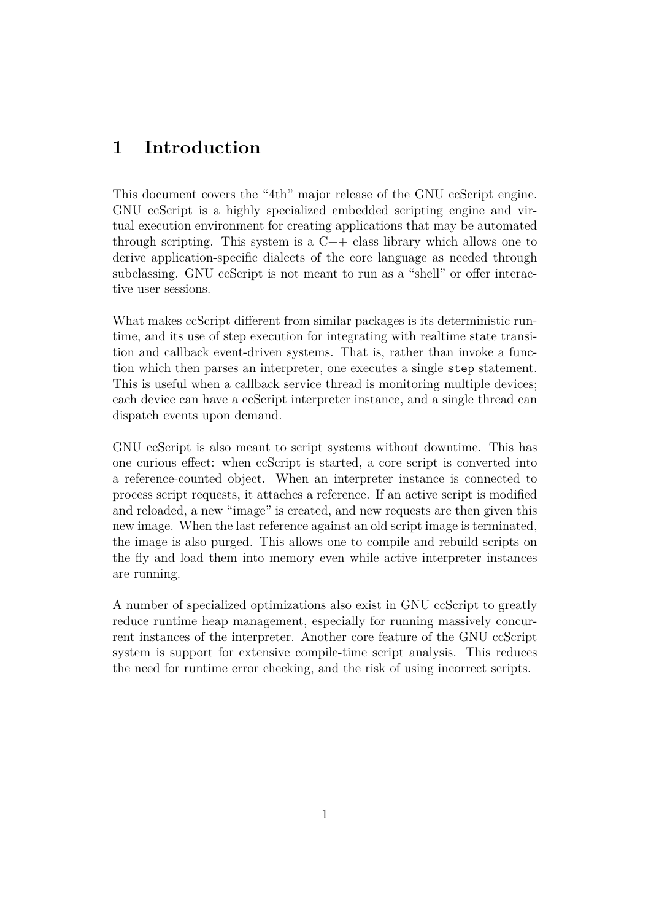### <span id="page-1-0"></span>**1 Introduction**

This document covers the "4th" major release of the GNU ccScript engine. GNU ccScript is a highly specialized embedded scripting engine and virtual execution environment for creating applications that may be automated through scripting. This system is a  $C++$  class library which allows one to derive application-specific dialects of the core language as needed through subclassing. GNU ccScript is not meant to run as a "shell" or offer interactive user sessions.

What makes ccScript different from similar packages is its deterministic runtime, and its use of step execution for integrating with realtime state transition and callback event-driven systems. That is, rather than invoke a function which then parses an interpreter, one executes a single step statement. This is useful when a callback service thread is monitoring multiple devices; each device can have a ccScript interpreter instance, and a single thread can dispatch events upon demand.

GNU ccScript is also meant to script systems without downtime. This has one curious effect: when ccScript is started, a core script is converted into a reference-counted object. When an interpreter instance is connected to process script requests, it attaches a reference. If an active script is modified and reloaded, a new "image" is created, and new requests are then given this new image. When the last reference against an old script image is terminated, the image is also purged. This allows one to compile and rebuild scripts on the fly and load them into memory even while active interpreter instances are running.

A number of specialized optimizations also exist in GNU ccScript to greatly reduce runtime heap management, especially for running massively concurrent instances of the interpreter. Another core feature of the GNU ccScript system is support for extensive compile-time script analysis. This reduces the need for runtime error checking, and the risk of using incorrect scripts.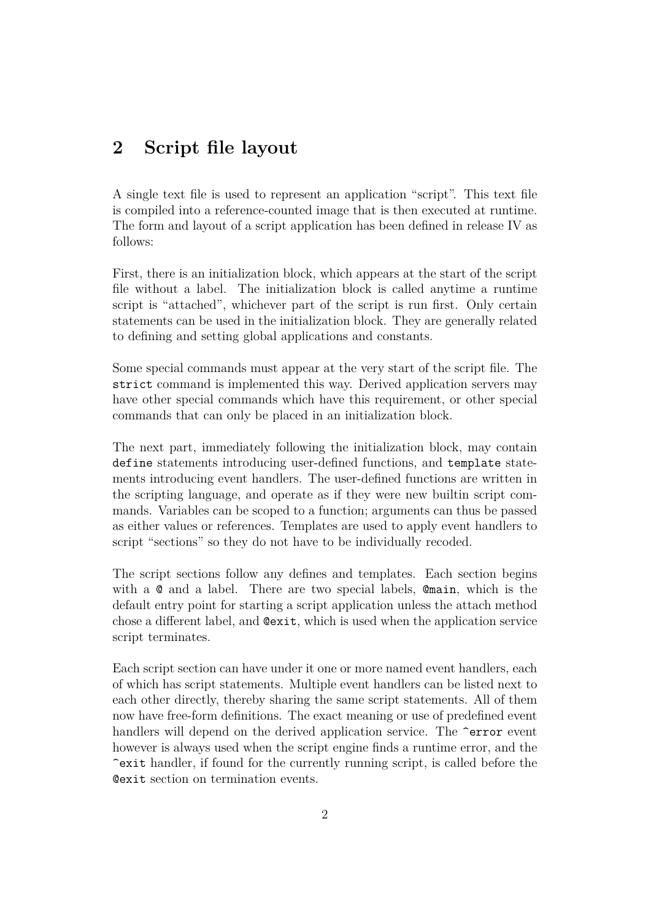### <span id="page-2-0"></span>**2 Script file layout**

A single text file is used to represent an application "script". This text file is compiled into a reference-counted image that is then executed at runtime. The form and layout of a script application has been defined in release IV as follows:

First, there is an initialization block, which appears at the start of the script file without a label. The initialization block is called anytime a runtime script is "attached", whichever part of the script is run first. Only certain statements can be used in the initialization block. They are generally related to defining and setting global applications and constants.

Some special commands must appear at the very start of the script file. The strict command is implemented this way. Derived application servers may have other special commands which have this requirement, or other special commands that can only be placed in an initialization block.

The next part, immediately following the initialization block, may contain define statements introducing user-defined functions, and template statements introducing event handlers. The user-defined functions are written in the scripting language, and operate as if they were new builtin script commands. Variables can be scoped to a function; arguments can thus be passed as either values or references. Templates are used to apply event handlers to script "sections" so they do not have to be individually recoded.

The script sections follow any defines and templates. Each section begins with a @ and a label. There are two special labels, @main, which is the default entry point for starting a script application unless the attach method chose a different label, and @exit, which is used when the application service script terminates.

Each script section can have under it one or more named event handlers, each of which has script statements. Multiple event handlers can be listed next to each other directly, thereby sharing the same script statements. All of them now have free-form definitions. The exact meaning or use of predefined event handlers will depend on the derived application service. The  $\epsilon$  error event however is always used when the script engine finds a runtime error, and the ^exit handler, if found for the currently running script, is called before the @exit section on termination events.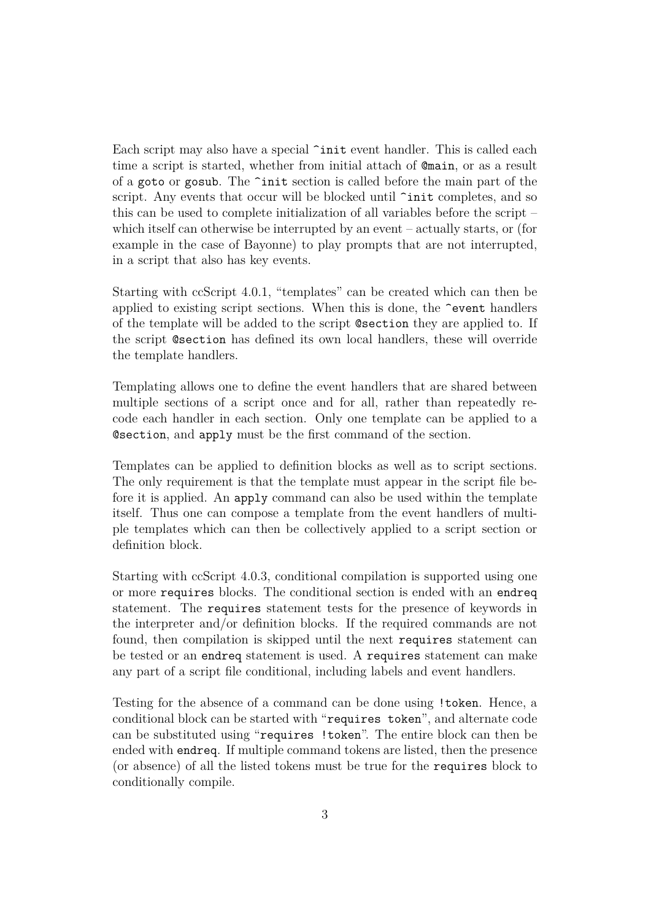Each script may also have a special  $\tilde{\ }$ init event handler. This is called each time a script is started, whether from initial attach of @main, or as a result of a goto or gosub. The ^init section is called before the main part of the script. Any events that occur will be blocked until  $\tilde{\text{init}}$  completes, and so this can be used to complete initialization of all variables before the script – which itself can otherwise be interrupted by an event – actually starts, or (for example in the case of Bayonne) to play prompts that are not interrupted, in a script that also has key events.

Starting with ccScript 4.0.1, "templates" can be created which can then be applied to existing script sections. When this is done, the ^event handlers of the template will be added to the script @section they are applied to. If the script @section has defined its own local handlers, these will override the template handlers.

Templating allows one to define the event handlers that are shared between multiple sections of a script once and for all, rather than repeatedly recode each handler in each section. Only one template can be applied to a @section, and apply must be the first command of the section.

Templates can be applied to definition blocks as well as to script sections. The only requirement is that the template must appear in the script file before it is applied. An apply command can also be used within the template itself. Thus one can compose a template from the event handlers of multiple templates which can then be collectively applied to a script section or definition block.

Starting with ccScript 4.0.3, conditional compilation is supported using one or more requires blocks. The conditional section is ended with an endreq statement. The requires statement tests for the presence of keywords in the interpreter and/or definition blocks. If the required commands are not found, then compilation is skipped until the next requires statement can be tested or an endreq statement is used. A requires statement can make any part of a script file conditional, including labels and event handlers.

Testing for the absence of a command can be done using !token. Hence, a conditional block can be started with "requires token", and alternate code can be substituted using "requires !token". The entire block can then be ended with endreq. If multiple command tokens are listed, then the presence (or absence) of all the listed tokens must be true for the requires block to conditionally compile.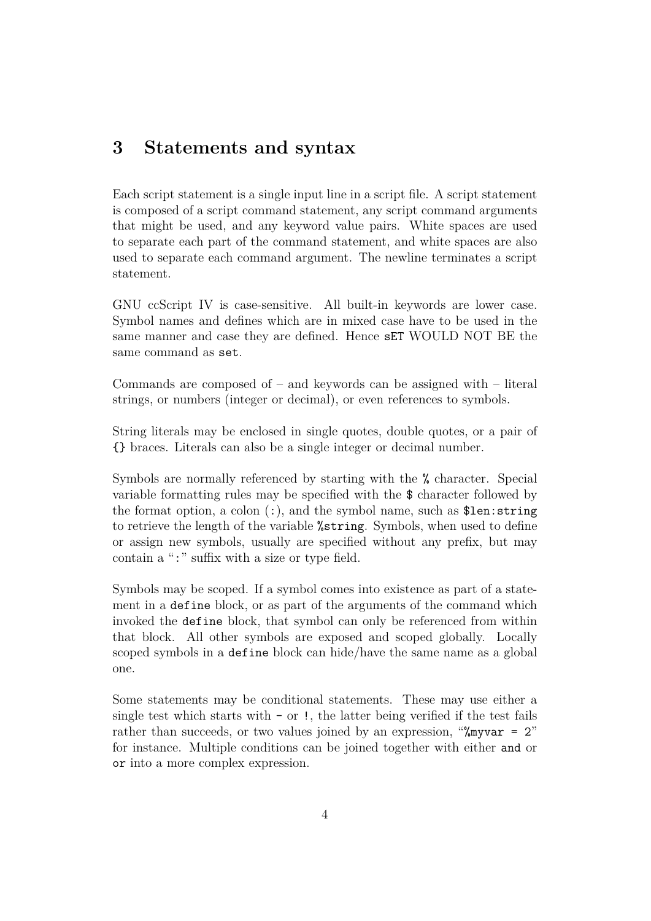### <span id="page-4-0"></span>**3 Statements and syntax**

Each script statement is a single input line in a script file. A script statement is composed of a script command statement, any script command arguments that might be used, and any keyword value pairs. White spaces are used to separate each part of the command statement, and white spaces are also used to separate each command argument. The newline terminates a script statement.

GNU ccScript IV is case-sensitive. All built-in keywords are lower case. Symbol names and defines which are in mixed case have to be used in the same manner and case they are defined. Hence sET WOULD NOT BE the same command as set.

Commands are composed of  $-$  and keywords can be assigned with  $-$  literal strings, or numbers (integer or decimal), or even references to symbols.

String literals may be enclosed in single quotes, double quotes, or a pair of {} braces. Literals can also be a single integer or decimal number.

Symbols are normally referenced by starting with the % character. Special variable formatting rules may be specified with the \$ character followed by the format option, a colon  $(:)$ , and the symbol name, such as \$len: string to retrieve the length of the variable %string. Symbols, when used to define or assign new symbols, usually are specified without any prefix, but may contain a ":" suffix with a size or type field.

Symbols may be scoped. If a symbol comes into existence as part of a statement in a define block, or as part of the arguments of the command which invoked the define block, that symbol can only be referenced from within that block. All other symbols are exposed and scoped globally. Locally scoped symbols in a define block can hide/have the same name as a global one.

Some statements may be conditional statements. These may use either a single test which starts with  $-$  or  $\ell$ , the latter being verified if the test fails rather than succeeds, or two values joined by an expression, "%myvar = 2" for instance. Multiple conditions can be joined together with either and or or into a more complex expression.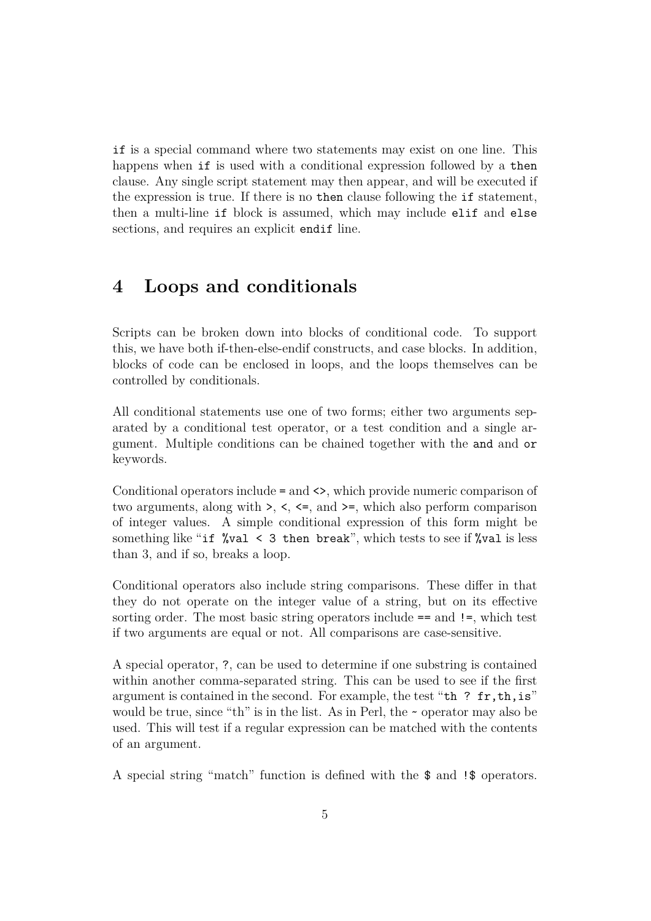if is a special command where two statements may exist on one line. This happens when if is used with a conditional expression followed by a then clause. Any single script statement may then appear, and will be executed if the expression is true. If there is no then clause following the if statement, then a multi-line if block is assumed, which may include elif and else sections, and requires an explicit endif line.

### <span id="page-5-0"></span>**4 Loops and conditionals**

Scripts can be broken down into blocks of conditional code. To support this, we have both if-then-else-endif constructs, and case blocks. In addition, blocks of code can be enclosed in loops, and the loops themselves can be controlled by conditionals.

All conditional statements use one of two forms; either two arguments separated by a conditional test operator, or a test condition and a single argument. Multiple conditions can be chained together with the and and or keywords.

Conditional operators include = and <>, which provide numeric comparison of two arguments, along with  $\geq$ ,  $\lt$ ,  $\lt$ =, and  $\gt$ =, which also perform comparison of integer values. A simple conditional expression of this form might be something like "if  $\sqrt[n]{val} < 3$  then break", which tests to see if  $\sqrt[n]{val}$  is less than 3, and if so, breaks a loop.

Conditional operators also include string comparisons. These differ in that they do not operate on the integer value of a string, but on its effective sorting order. The most basic string operators include == and !=, which test if two arguments are equal or not. All comparisons are case-sensitive.

A special operator, ?, can be used to determine if one substring is contained within another comma-separated string. This can be used to see if the first argument is contained in the second. For example, the test "th ? fr,th,is" would be true, since "th" is in the list. As in Perl, the  $\sim$  operator may also be used. This will test if a regular expression can be matched with the contents of an argument.

A special string "match" function is defined with the \$ and !\$ operators.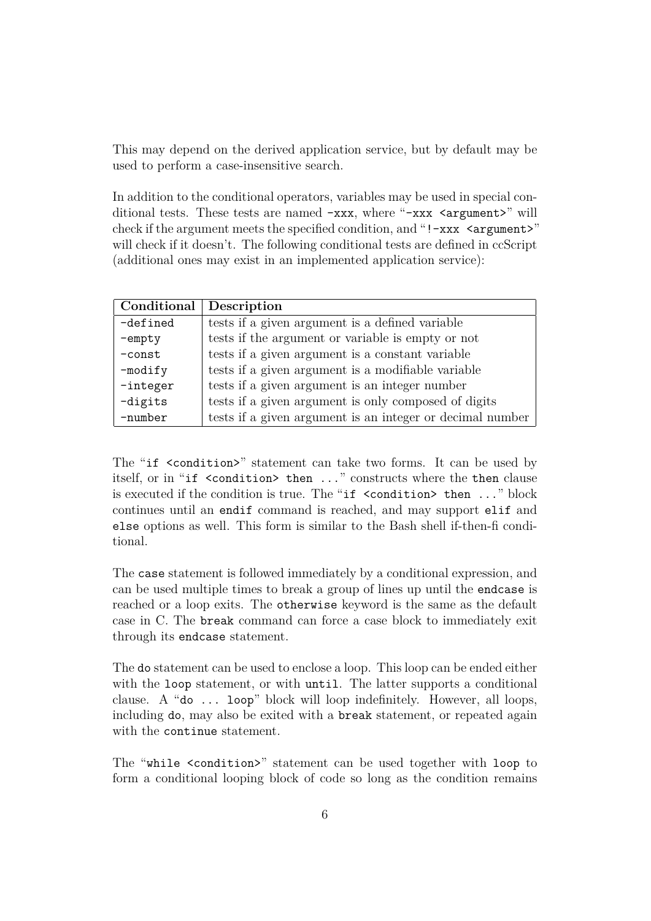This may depend on the derived application service, but by default may be used to perform a case-insensitive search.

In addition to the conditional operators, variables may be used in special conditional tests. These tests are named -xxx, where "-xxx <argument>" will check if the argument meets the specified condition, and "!-xxx <argument>" will check if it doesn't. The following conditional tests are defined in ccScript (additional ones may exist in an implemented application service):

| Conditional | Description                                               |
|-------------|-----------------------------------------------------------|
| -defined    | tests if a given argument is a defined variable           |
| $-$ empty   | tests if the argument or variable is empty or not         |
| $-const$    | tests if a given argument is a constant variable          |
| $-modify$   | tests if a given argument is a modifiable variable        |
| $-integer$  | tests if a given argument is an integer number            |
| -digits     | tests if a given argument is only composed of digits      |
| -number     | tests if a given argument is an integer or decimal number |

The "if <condition>" statement can take two forms. It can be used by itself, or in "if <condition> then ..." constructs where the then clause is executed if the condition is true. The "if <condition> then ..." block continues until an endif command is reached, and may support elif and else options as well. This form is similar to the Bash shell if-then-fi conditional.

The case statement is followed immediately by a conditional expression, and can be used multiple times to break a group of lines up until the endcase is reached or a loop exits. The otherwise keyword is the same as the default case in C. The break command can force a case block to immediately exit through its endcase statement.

The do statement can be used to enclose a loop. This loop can be ended either with the loop statement, or with until. The latter supports a conditional clause. A "do ... loop" block will loop indefinitely. However, all loops, including do, may also be exited with a break statement, or repeated again with the continue statement.

The "while <condition>" statement can be used together with loop to form a conditional looping block of code so long as the condition remains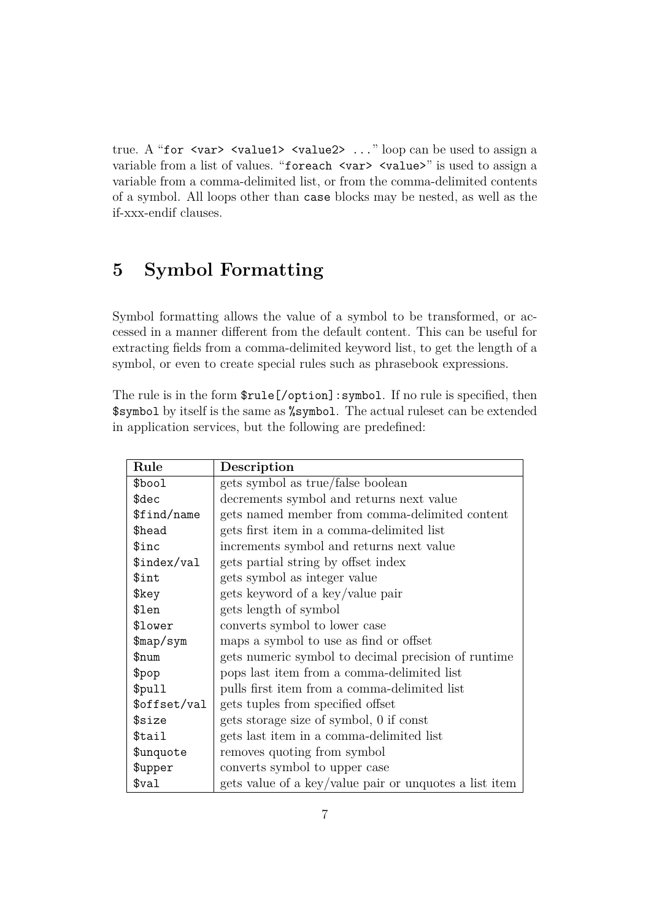true. A "for <var> <value1> <value2> ..." loop can be used to assign a variable from a list of values. "for each <var> <value>" is used to assign a variable from a comma-delimited list, or from the comma-delimited contents of a symbol. All loops other than case blocks may be nested, as well as the if-xxx-endif clauses.

### <span id="page-7-0"></span>**5 Symbol Formatting**

Symbol formatting allows the value of a symbol to be transformed, or accessed in a manner different from the default content. This can be useful for extracting fields from a comma-delimited keyword list, to get the length of a symbol, or even to create special rules such as phrasebook expressions.

The rule is in the form \$rule[/option]:symbol. If no rule is specified, then \$symbol by itself is the same as %symbol. The actual ruleset can be extended in application services, but the following are predefined:

| Rule              | Description                                            |
|-------------------|--------------------------------------------------------|
| \$bool            | gets symbol as true/false boolean                      |
| \$dec             | decrements symbol and returns next value               |
| \$find/name       | gets named member from comma-delimited content         |
| \$head            | gets first item in a comma-delimited list              |
| \$inc             | increments symbol and returns next value               |
| \$index/val       | gets partial string by offset index                    |
| \$int             | gets symbol as integer value                           |
| \$key             | gets keyword of a key/value pair                       |
| \$len             | gets length of symbol                                  |
| \$lower           | converts symbol to lower case                          |
| $\frac{m}{2}$     | maps a symbol to use as find or offset                 |
| \$num             | gets numeric symbol to decimal precision of runtime    |
| \$pop             | pops last item from a comma-delimited list             |
| \$pull            | pulls first item from a comma-delimited list           |
| \$offset/val      | gets tuples from specified offset                      |
| \$size            | gets storage size of symbol, 0 if const                |
| \$tail            | gets last item in a comma-delimited list               |
| \$unquote         | removes quoting from symbol                            |
| \$upper           | converts symbol to upper case                          |
| \$ <sub>val</sub> | gets value of a key/value pair or unquotes a list item |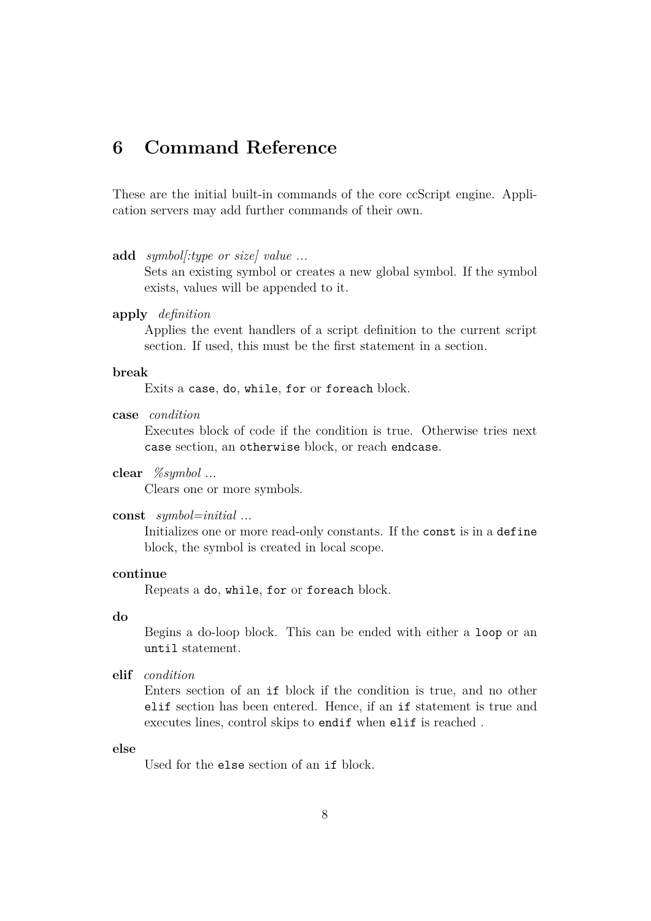### <span id="page-8-0"></span>**6 Command Reference**

These are the initial built-in commands of the core ccScript engine. Application servers may add further commands of their own.

```
add symbol[:type or size] value ...
```
Sets an existing symbol or creates a new global symbol. If the symbol exists, values will be appended to it.

#### **apply** *definition*

Applies the event handlers of a script definition to the current script section. If used, this must be the first statement in a section.

#### **break**

Exits a case, do, while, for or foreach block.

**case** *condition*

Executes block of code if the condition is true. Otherwise tries next case section, an otherwise block, or reach endcase.

#### **clear** *%symbol ...*

Clears one or more symbols.

#### **const** *symbol=initial ...*

Initializes one or more read-only constants. If the const is in a define block, the symbol is created in local scope.

#### **continue**

Repeats a do, while, for or foreach block.

#### **do**

Begins a do-loop block. This can be ended with either a loop or an until statement.

**elif** *condition*

Enters section of an if block if the condition is true, and no other elif section has been entered. Hence, if an if statement is true and executes lines, control skips to endif when elif is reached .

#### **else**

Used for the else section of an if block.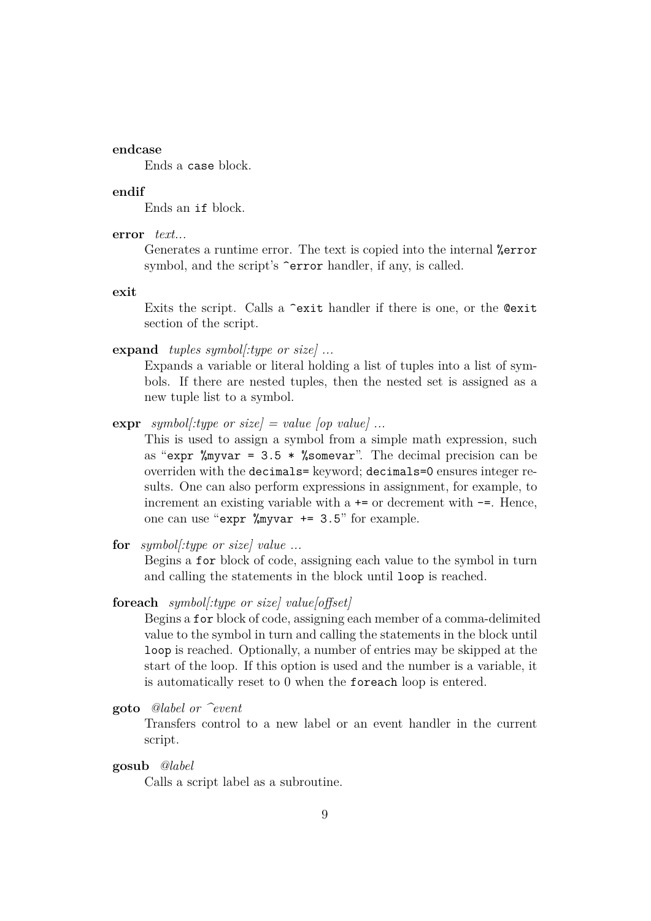#### **endcase**

Ends a case block.

#### **endif**

Ends an if block.

**error** *text...*

Generates a runtime error. The text is copied into the internal %error symbol, and the script's  $\epsilon$  error handler, if any, is called.

**exit**

Exits the script. Calls a ^exit handler if there is one, or the @exit section of the script.

**expand** *tuples symbol[:type or size] ...*

Expands a variable or literal holding a list of tuples into a list of symbols. If there are nested tuples, then the nested set is assigned as a new tuple list to a symbol.

**expr** *symbol* $f$ :*type or size* $] = value$  [*op value*] ...

This is used to assign a symbol from a simple math expression, such as "expr  $\gamma$  myvar = 3.5  $\ast$   $\gamma$  somevar". The decimal precision can be overriden with the decimals= keyword; decimals=0 ensures integer results. One can also perform expressions in assignment, for example, to increment an existing variable with  $a \leftarrow$  or decrement with  $-\epsilon$ . Hence, one can use "expr %myvar += 3.5" for example.

**for** *symbol[:type or size] value ...*

Begins a for block of code, assigning each value to the symbol in turn and calling the statements in the block until loop is reached.

**foreach** *symbol[:type or size] value[offset]*

Begins a for block of code, assigning each member of a comma-delimited value to the symbol in turn and calling the statements in the block until loop is reached. Optionally, a number of entries may be skipped at the start of the loop. If this option is used and the number is a variable, it is automatically reset to 0 when the foreach loop is entered.

**goto** *@label or ^event*

Transfers control to a new label or an event handler in the current script.

**gosub** *@label*

Calls a script label as a subroutine.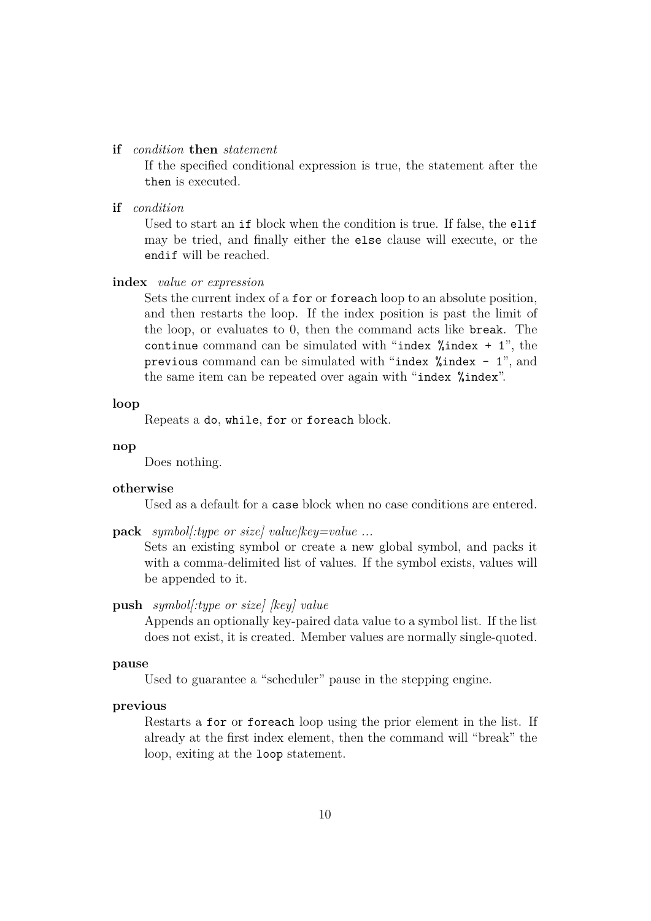#### **if** *condition* **then** *statement*

If the specified conditional expression is true, the statement after the then is executed.

**if** *condition*

Used to start an if block when the condition is true. If false, the elif may be tried, and finally either the else clause will execute, or the endif will be reached.

#### **index** *value or expression*

Sets the current index of a for or foreach loop to an absolute position, and then restarts the loop. If the index position is past the limit of the loop, or evaluates to 0, then the command acts like break. The continue command can be simulated with "index  $%$  index  $+1$ ", the previous command can be simulated with "index  $%$ index - 1", and the same item can be repeated over again with "index %index".

#### **loop**

Repeats a do, while, for or foreach block.

#### **nop**

Does nothing.

#### **otherwise**

Used as a default for a case block when no case conditions are entered.

**pack** *symbol[:type or size] value|key=value ...*

Sets an existing symbol or create a new global symbol, and packs it with a comma-delimited list of values. If the symbol exists, values will be appended to it.

#### **push** *symbol[:type or size] [key] value*

Appends an optionally key-paired data value to a symbol list. If the list does not exist, it is created. Member values are normally single-quoted.

#### **pause**

Used to guarantee a "scheduler" pause in the stepping engine.

#### **previous**

Restarts a for or foreach loop using the prior element in the list. If already at the first index element, then the command will "break" the loop, exiting at the loop statement.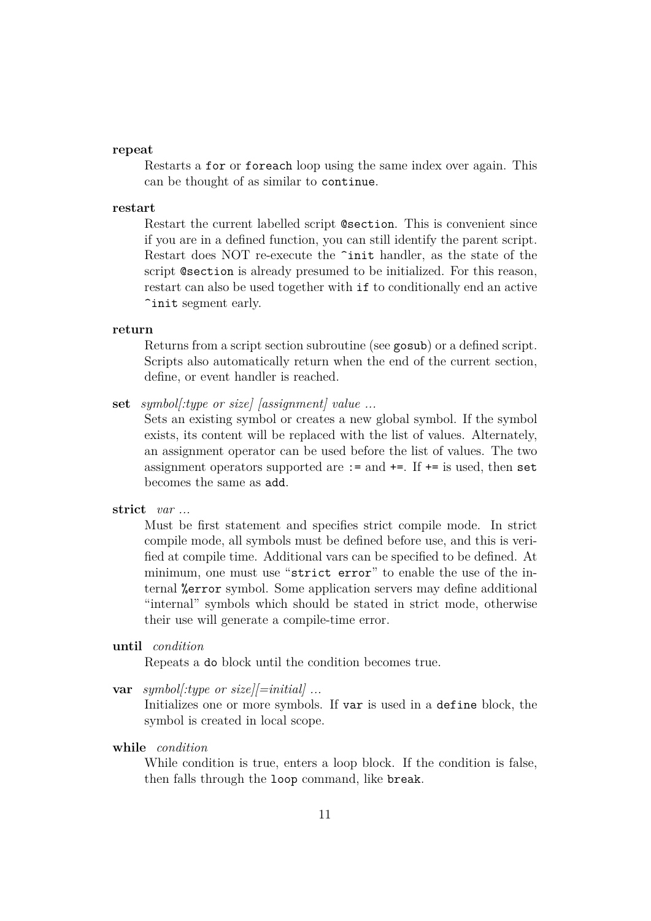#### **repeat**

Restarts a for or foreach loop using the same index over again. This can be thought of as similar to continue.

#### **restart**

Restart the current labelled script @section. This is convenient since if you are in a defined function, you can still identify the parent script. Restart does NOT re-execute the  $\text{2}\text{init}$  handler, as the state of the script @section is already presumed to be initialized. For this reason, restart can also be used together with if to conditionally end an active ^init segment early.

#### **return**

Returns from a script section subroutine (see gosub) or a defined script. Scripts also automatically return when the end of the current section, define, or event handler is reached.

**set** *symbol[:type or size] [assignment] value ...*

Sets an existing symbol or creates a new global symbol. If the symbol exists, its content will be replaced with the list of values. Alternately, an assignment operator can be used before the list of values. The two assignment operators supported are  $:=$  and  $+=$ . If  $+=$  is used, then set becomes the same as add.

#### **strict** *var ...*

Must be first statement and specifies strict compile mode. In strict compile mode, all symbols must be defined before use, and this is verified at compile time. Additional vars can be specified to be defined. At minimum, one must use "strict error" to enable the use of the internal %error symbol. Some application servers may define additional "internal" symbols which should be stated in strict mode, otherwise their use will generate a compile-time error.

**until** *condition*

Repeats a do block until the condition becomes true.

**var** *symbol[:type or size][=initial] ...*

Initializes one or more symbols. If var is used in a define block, the symbol is created in local scope.

**while** *condition*

While condition is true, enters a loop block. If the condition is false, then falls through the loop command, like break.